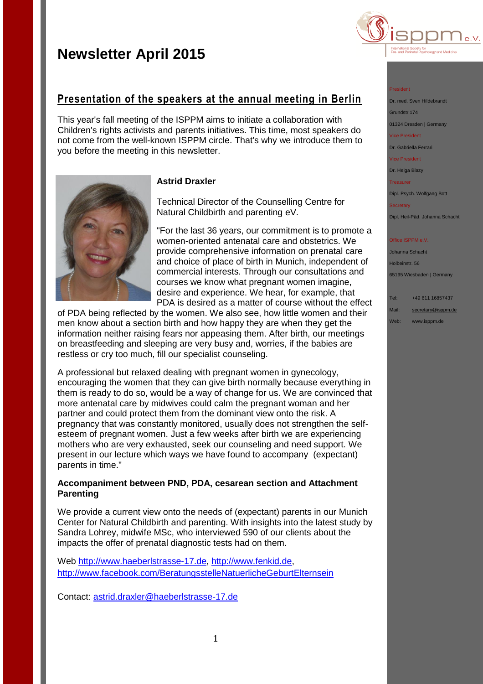you before the meeting in this newsletter.



#### President

Dr. med. Sven Hildebrandt

Grundstr.174

01324 Dresden | Germany

Vice President

Dr. Gabriella Ferrari

Vice President

Dr. Helga Blazy **Treasurer** 

Dipl. Psych. Wolfgang Bott

Secretary

Dipl. Heil-Päd. Johanna Schacht

### Office ISPPM e.V.

Johanna Schacht Holbeinstr. 56 65195 Wiesbaden | Germany

Tel: +49 611 16857437 Mail: [secretary@isppm.de](mailto:secretary@isppm.de)

Web: [www.isppm.de](http://www.isppm.de/)

### **Astrid Draxler**

**Presentation of the speakers at the annual meeting in Berlin**

This year's fall meeting of the ISPPM aims to initiate a collaboration with Children's rights activists and parents initiatives. This time, most speakers do not come from the well-known ISPPM circle. That's why we introduce them to

> Technical Director of the Counselling Centre for Natural Childbirth and parenting eV.

"For the last 36 years, our commitment is to promote a women-oriented antenatal care and obstetrics. We provide comprehensive information on prenatal care and choice of place of birth in Munich, independent of commercial interests. Through our consultations and courses we know what pregnant women imagine, desire and experience. We hear, for example, that PDA is desired as a matter of course without the effect

of PDA being reflected by the women. We also see, how little women and their men know about a section birth and how happy they are when they get the information neither raising fears nor appeasing them. After birth, our meetings on breastfeeding and sleeping are very busy and, worries, if the babies are restless or cry too much, fill our specialist counseling.

A professional but relaxed dealing with pregnant women in gynecology, encouraging the women that they can give birth normally because everything in them is ready to do so, would be a way of change for us. We are convinced that more antenatal care by midwives could calm the pregnant woman and her partner and could protect them from the dominant view onto the risk. A pregnancy that was constantly monitored, usually does not strengthen the selfesteem of pregnant women. Just a few weeks after birth we are experiencing mothers who are very exhausted, seek our counseling and need support. We present in our lecture which ways we have found to accompany (expectant) parents in time."

### **Accompaniment between PND, PDA, cesarean section and Attachment Parenting**

We provide a current view onto the needs of (expectant) parents in our Munich Center for Natural Childbirth and parenting. With insights into the latest study by Sandra Lohrey, midwife MSc, who interviewed 590 of our clients about the impacts the offer of prenatal diagnostic tests had on them.

Web [http://www.haeberlstrasse-17.de,](http://www.haeberlstrasse-17.de/) [http://www.fenkid.de,](http://www.fenkid.de/) <http://www.facebook.com/BeratungsstelleNatuerlicheGeburtElternsein>

Contact: [astrid.draxler@haeberlstrasse-17.de](mailto:astrid.draxler@haeberlstrasse-17.de)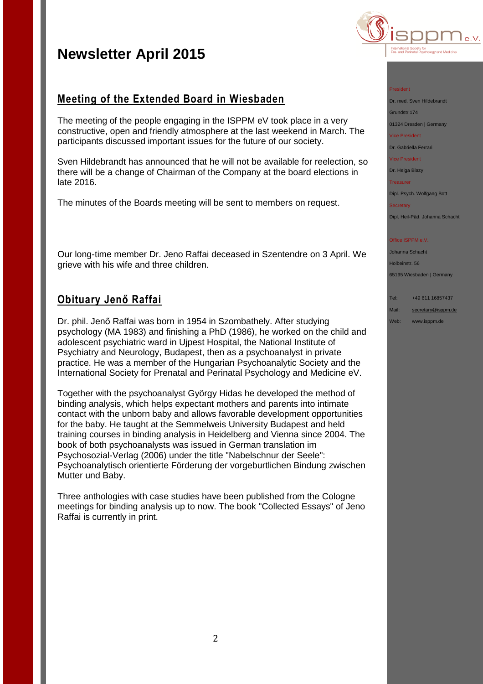## **Meeting of the Extended Board in Wiesbaden**

The meeting of the people engaging in the ISPPM eV took place in a very constructive, open and friendly atmosphere at the last weekend in March. The participants discussed important issues for the future of our society.

Sven Hildebrandt has announced that he will not be available for reelection, so there will be a change of Chairman of the Company at the board elections in late 2016.

The minutes of the Boards meeting will be sent to members on request.

Our long-time member Dr. Jeno Raffai deceased in Szentendre on 3 April. We grieve with his wife and three children.

## **Obituary Jenő Raffai**

Dr. phil. Jenő Raffai was born in 1954 in Szombathely. After studying psychology (MA 1983) and finishing a PhD (1986), he worked on the child and adolescent psychiatric ward in Ujpest Hospital, the National Institute of Psychiatry and Neurology, Budapest, then as a psychoanalyst in private practice. He was a member of the Hungarian Psychoanalytic Society and the International Society for Prenatal and Perinatal Psychology and Medicine eV.

Together with the psychoanalyst György Hidas he developed the method of binding analysis, which helps expectant mothers and parents into intimate contact with the unborn baby and allows favorable development opportunities for the baby. He taught at the Semmelweis University Budapest and held training courses in binding analysis in Heidelberg and Vienna since 2004. The book of both psychoanalysts was issued in German translation im Psychosozial-Verlag (2006) under the title "Nabelschnur der Seele": Psychoanalytisch orientierte Förderung der vorgeburtlichen Bindung zwischen Mutter und Baby.

Three anthologies with case studies have been published from the Cologne meetings for binding analysis up to now. The book "Collected Essays" of Jeno Raffai is currently in print.



#### President

Dr. med. Sven Hildebrandt

Grundstr.174 01324 Dresden | Germany

Vice President

Dr. Gabriella Ferrari

Vice President

Dr. Helga Blazy

**Secretary** 

**Treasurer** 

Dipl. Psych. Wolfgang Bott

Dipl. Heil-Päd. Johanna Schacht

### Office ISPPM e.V.

Johanna Schacht Holbeinstr. 56 65195 Wiesbaden | Germany

Tel: +49 611 16857437

Mail: [secretary@isppm.de](mailto:secretary@isppm.de)

Web: [www.isppm.de](http://www.isppm.de/)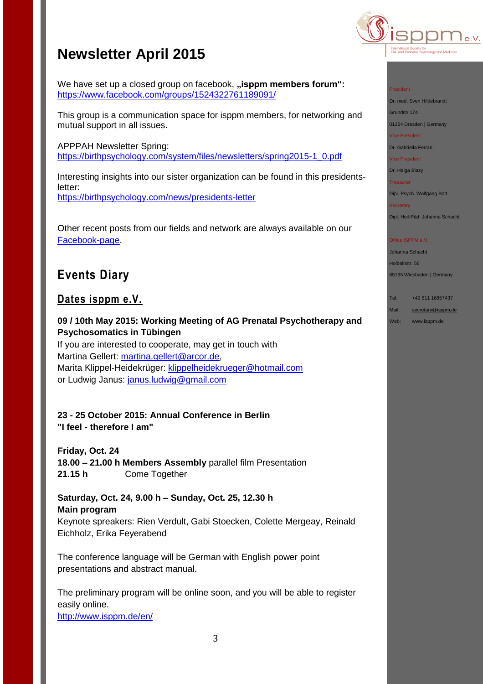We have set up a closed group on facebook, "isppm members forum": <https://www.facebook.com/groups/1524322761189091/>

This group is a communication space for isppm members, for networking and mutual support in all issues.

APPPAH Newsletter Spring: [https://birthpsychology.com/system/files/newsletters/spring2015-1\\_0.pdf](https://birthpsychology.com/system/files/newsletters/spring2015-1_0.pdf)

Interesting insights into our sister organization can be found in this presidentsletter: <https://birthpsychology.com/news/presidents-letter>

Other recent posts from our fields and network are always available on our [Facebook-page.](https://www.facebook.com/pages/ISPPM-eV/124066644364106)

## **Events Diary**

## **Dates isppm e.V.**

**09 / 10th May 2015: Working Meeting of AG Prenatal Psychotherapy and Psychosomatics in Tübingen**

If you are interested to cooperate, may get in touch with Martina Gellert: [martina.gellert@arcor.de,](mailto:martina.gellert@arcor.de) Marita Klippel-Heidekrüger: [klippelheidekrueger@hotmail.com](mailto:klippelheidekrueger@hotmail.com) or Ludwig Janus: [janus.ludwig@gmail.com](mailto:janus.ludwig@gmail.com)

### **23 - 25 October 2015: Annual Conference in Berlin "I feel - therefore I am"**

**Friday, Oct. 24 18.00 – 21.00 h Members Assembly** parallel film Presentation **21.15 h** Come Together

**Saturday, Oct. 24, 9.00 h – Sunday, Oct. 25, 12.30 h Main program** Keynote spreakers: Rien Verdult, Gabi Stoecken, Colette Mergeay, Reinald Eichholz, Erika Feyerabend

The conference language will be German with English power point presentations and abstract manual.

The preliminary program will be online soon, and you will be able to register easily online.

[http://www.isppm.de/en/](http://www.isppm.de/en/23-25-october-2015-annual-conference-in-berlin/)



### President

Dr. med. Sven Hildebrandt

Grundstr.174

01324 Dresden | Germany Vice President

Dr. Gabriella Ferrari

Vice President

Dr. Helga Blazy

**Treasurer** Dipl. Psych. Wolfgang Bott

**Secretary** 

Dipl. Heil-Päd. Johanna Schacht

### Office ISPPM e.V.

Johanna Schacht Holbeinstr. 56 65195 Wiesbaden | Germany

Tel: +49 611 16857437 Mail: [secretary@isppm.de](mailto:secretary@isppm.de)

Web: [www.isppm.de](http://www.isppm.de/)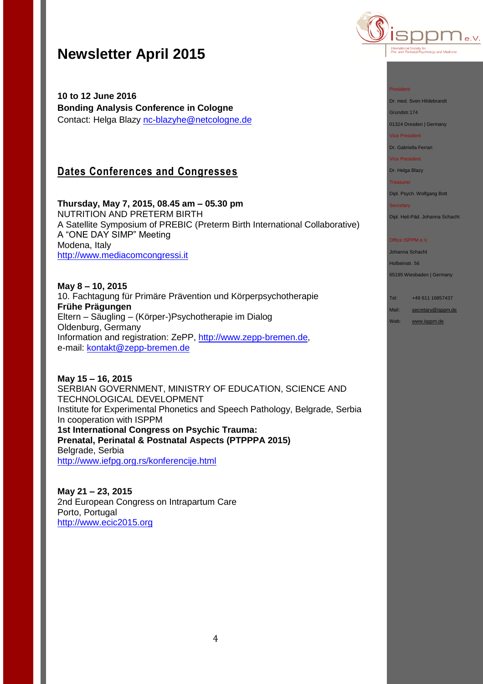**10 to 12 June 2016 Bonding Analysis Conference in Cologne** Contact: Helga Blazy [nc-blazyhe@netcologne.de](mailto:nc-blazyhe@netcologne.de)

## **Dates Conferences and Congresses**

**Thursday, May 7, 2015, 08.45 am – 05.30 pm** NUTRITION AND PRETERM BIRTH A Satellite Symposium of PREBIC (Preterm Birth International Collaborative) A "ONE DAY SIMP" Meeting Modena, Italy [http://www.mediacomcongressi.it](http://www.mediacomcongressi.it/)

**May 8 – 10, 2015** 10. Fachtagung für Primäre Prävention und Körperpsychotherapie **Frühe Prägungen** Eltern – Säugling – (Körper-)Psychotherapie im Dialog Oldenburg, Germany Information and registration: ZePP, [http://www.zepp-bremen.de,](http://www.zepp-bremen.de/) e-mail: [kontakt@zepp-bremen.de](mailto:kontakt@zepp-bremen.de)

**May 15 – 16, 2015** SERBIAN GOVERNMENT, MINISTRY OF EDUCATION, SCIENCE AND TECHNOLOGICAL DEVELOPMENT Institute for Experimental Phonetics and Speech Pathology, Belgrade, Serbia In cooperation with ISPPM **1st International Congress on Psychic Trauma: Prenatal, Perinatal & Postnatal Aspects (PTPPPA 2015)** Belgrade, Serbia <http://www.iefpg.org.rs/konferencije.html>

**May 21 – 23, 2015** 2nd European Congress on Intrapartum Care Porto, Portugal [http://www.ecic2015.org](http://www.ecic2015.org/)



### President

Dr. med. Sven Hildebrandt

Grundstr.174

01324 Dresden | Germany Vice President

Dr. Gabriella Ferrari

Vice President

#### Dr. Helga Blazy

**Treasurer** 

Dipl. Psych. Wolfgang Bott

**Secretary** Dipl. Heil-Päd. Johanna Schacht

### Office ISPPM e.V.

Johanna Schacht Holbeinstr. 56 65195 Wiesbaden | Germany

Tel: +49 611 16857437 Mail: [secretary@isppm.de](mailto:secretary@isppm.de)

Web: [www.isppm.de](http://www.isppm.de/)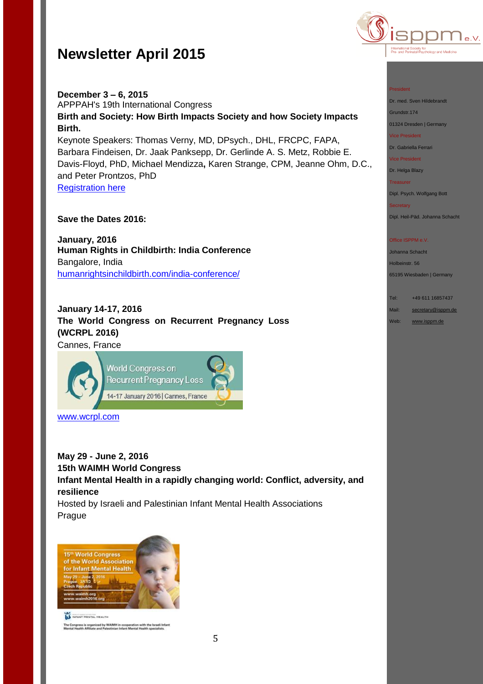



### **December 3 – 6, 2015** APPPAH's 19th International Congress **Birth and Society: How Birth Impacts Society and how Society Impacts Birth.** Keynote Speakers: Thomas Verny, MD, DPsych., DHL, FRCPC, FAPA, Barbara Findeisen, Dr. Jaak Panksepp, Dr. Gerlinde A. S. Metz, Robbie E. Davis-Floyd, PhD, Michael Mendizza**,** Karen Strange, CPM, Jeanne Ohm, D.C., and Peter Prontzos, PhD

[Registration here](http://r20.rs6.net/tn.jsp?f=001ow1wkvozei_88VPX53sV2VFa_ZuxEIVEKa01uLsN1mbdQzyyQdhs_FXedW1fhcbR0cAnBWKAa58XC3PwfiugTa1u-MPUS6Vonsz2fJNfQoB35pjIsF_7lD1CN_qw8TKu7v5JAd5plpwt_sJH1Yde9EazKKjwqyMJ21kbRBK73s3eVNH4L1EyhKr9FAjjkUSl1fgyAKzNeZsbRxoBWUe7j8en6Y0oQ_VI&c=LWshyrIfwgT0SZxQf9pomHGUyyn_Wvxtp2RWpyiRrhc-6I_2N51Iww==&ch=fzqAY8gzqrfAbvVlvh6O_uf6Y0uhLqpZVtR_fAmpQsLRiSXUV-TJkQ==)

### **Save the Dates 2016:**

**January, 2016 Human Rights in Childbirth: India Conference** Bangalore, India [humanrightsinchildbirth.com/india-conference/](http://humanrightsinchildbirth.com/india-conference/)

**January 14-17, 2016 The World Congress on Recurrent Pregnancy Loss (WCRPL 2016)** Cannes, France



[www.wcrpl.com](http://www.wcrpl.com/)

**May 29 - June 2, 2016 15th WAIMH World Congress Infant Mental Health in a rapidly changing world: Conflict, adversity, and resilience** Hosted by Israeli and Palestinian Infant Mental Health Associations Prague



**ILE INFANT MENTAL HEALTH** The Congress is organized by WAIMH in cooperation with the Israeli Infant<br>Mental Health Affiliate and Palestinian Infant Mental Health specialists.

#### President

Dr. med. Sven Hildebrandt

Grundstr.174

01324 Dresden | Germany

Vice President

Dr. Gabriella Ferrari

Vice President

Dr. Helga Blazy

**Treasurer** Dipl. Psych. Wolfgang Bott

Dipl. Heil-Päd. Johanna Schacht

### Office ISPPM e.V.

Johanna Schacht Holbeinstr. 56 65195 Wiesbaden | Germany

Tel: +49 611 16857437 Mail: [secretary@isppm.de](mailto:secretary@isppm.de)

Web: [www.isppm.de](http://www.isppm.de/)

5